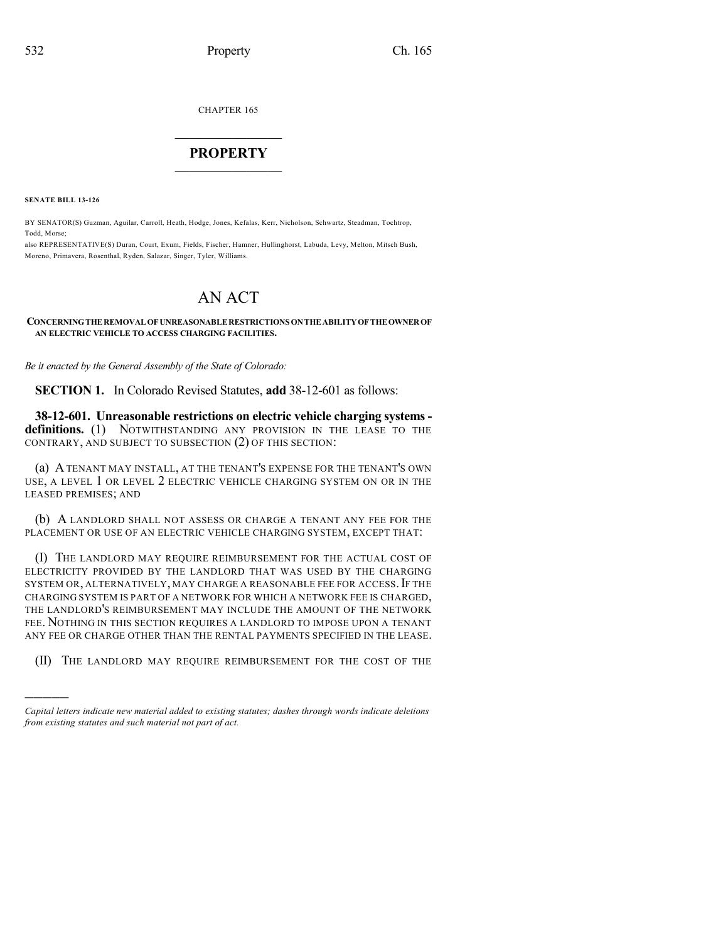CHAPTER 165

## $\mathcal{L}_\text{max}$  . The set of the set of the set of the set of the set of the set of the set of the set of the set of the set of the set of the set of the set of the set of the set of the set of the set of the set of the set **PROPERTY**  $\_$   $\_$   $\_$   $\_$   $\_$   $\_$   $\_$   $\_$   $\_$

**SENATE BILL 13-126**

)))))

BY SENATOR(S) Guzman, Aguilar, Carroll, Heath, Hodge, Jones, Kefalas, Kerr, Nicholson, Schwartz, Steadman, Tochtrop, Todd, Morse;

also REPRESENTATIVE(S) Duran, Court, Exum, Fields, Fischer, Hamner, Hullinghorst, Labuda, Levy, Melton, Mitsch Bush, Moreno, Primavera, Rosenthal, Ryden, Salazar, Singer, Tyler, Williams.

# AN ACT

#### **CONCERNINGTHE REMOVAL OF UNREASONABLERESTRICTIONS ONTHE ABILITYOF THE OWNEROF AN ELECTRIC VEHICLE TO ACCESS CHARGING FACILITIES.**

*Be it enacted by the General Assembly of the State of Colorado:*

**SECTION 1.** In Colorado Revised Statutes, **add** 38-12-601 as follows:

**38-12-601. Unreasonable restrictions on electric vehicle charging systems definitions.** (1) NOTWITHSTANDING ANY PROVISION IN THE LEASE TO THE CONTRARY, AND SUBJECT TO SUBSECTION (2) OF THIS SECTION:

(a) A TENANT MAY INSTALL, AT THE TENANT'S EXPENSE FOR THE TENANT'S OWN USE, A LEVEL 1 OR LEVEL 2 ELECTRIC VEHICLE CHARGING SYSTEM ON OR IN THE LEASED PREMISES; AND

(b) A LANDLORD SHALL NOT ASSESS OR CHARGE A TENANT ANY FEE FOR THE PLACEMENT OR USE OF AN ELECTRIC VEHICLE CHARGING SYSTEM, EXCEPT THAT:

(I) THE LANDLORD MAY REQUIRE REIMBURSEMENT FOR THE ACTUAL COST OF ELECTRICITY PROVIDED BY THE LANDLORD THAT WAS USED BY THE CHARGING SYSTEM OR, ALTERNATIVELY, MAY CHARGE A REASONABLE FEE FOR ACCESS. IF THE CHARGING SYSTEM IS PART OF A NETWORK FOR WHICH A NETWORK FEE IS CHARGED, THE LANDLORD'S REIMBURSEMENT MAY INCLUDE THE AMOUNT OF THE NETWORK FEE. NOTHING IN THIS SECTION REQUIRES A LANDLORD TO IMPOSE UPON A TENANT ANY FEE OR CHARGE OTHER THAN THE RENTAL PAYMENTS SPECIFIED IN THE LEASE.

(II) THE LANDLORD MAY REQUIRE REIMBURSEMENT FOR THE COST OF THE

*Capital letters indicate new material added to existing statutes; dashes through words indicate deletions from existing statutes and such material not part of act.*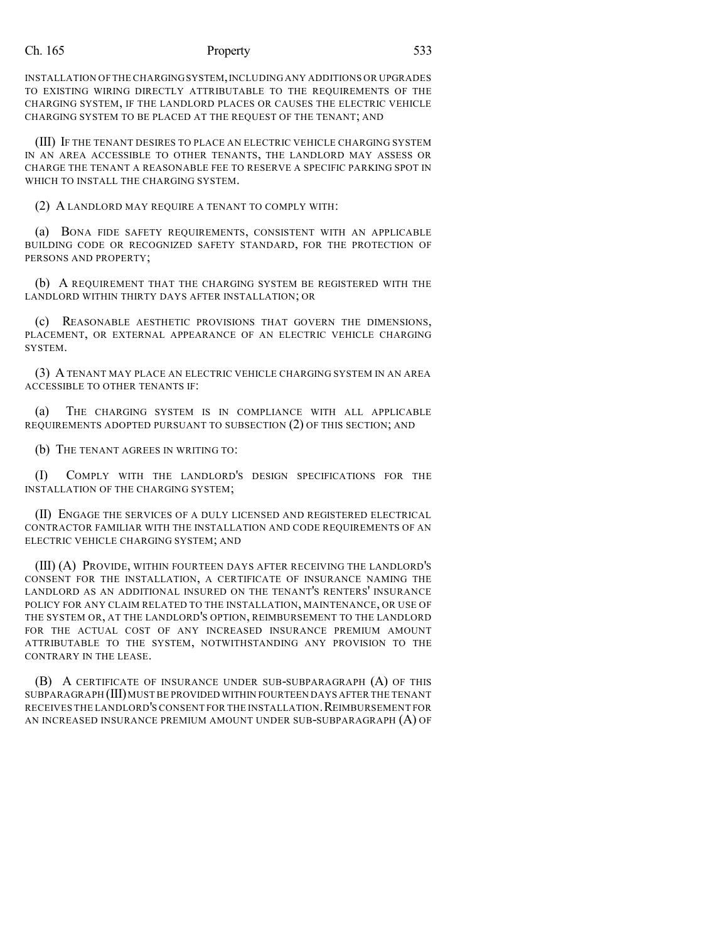## Ch. 165 Property 533

INSTALLATION OF THE CHARGINGSYSTEM,INCLUDING ANY ADDITIONS OR UPGRADES TO EXISTING WIRING DIRECTLY ATTRIBUTABLE TO THE REQUIREMENTS OF THE CHARGING SYSTEM, IF THE LANDLORD PLACES OR CAUSES THE ELECTRIC VEHICLE CHARGING SYSTEM TO BE PLACED AT THE REQUEST OF THE TENANT; AND

(III) IF THE TENANT DESIRES TO PLACE AN ELECTRIC VEHICLE CHARGING SYSTEM IN AN AREA ACCESSIBLE TO OTHER TENANTS, THE LANDLORD MAY ASSESS OR CHARGE THE TENANT A REASONABLE FEE TO RESERVE A SPECIFIC PARKING SPOT IN WHICH TO INSTALL THE CHARGING SYSTEM.

(2) A LANDLORD MAY REQUIRE A TENANT TO COMPLY WITH:

(a) BONA FIDE SAFETY REQUIREMENTS, CONSISTENT WITH AN APPLICABLE BUILDING CODE OR RECOGNIZED SAFETY STANDARD, FOR THE PROTECTION OF PERSONS AND PROPERTY;

(b) A REQUIREMENT THAT THE CHARGING SYSTEM BE REGISTERED WITH THE LANDLORD WITHIN THIRTY DAYS AFTER INSTALLATION; OR

(c) REASONABLE AESTHETIC PROVISIONS THAT GOVERN THE DIMENSIONS, PLACEMENT, OR EXTERNAL APPEARANCE OF AN ELECTRIC VEHICLE CHARGING SYSTEM.

(3) A TENANT MAY PLACE AN ELECTRIC VEHICLE CHARGING SYSTEM IN AN AREA ACCESSIBLE TO OTHER TENANTS IF:

(a) THE CHARGING SYSTEM IS IN COMPLIANCE WITH ALL APPLICABLE REQUIREMENTS ADOPTED PURSUANT TO SUBSECTION (2) OF THIS SECTION; AND

(b) THE TENANT AGREES IN WRITING TO:

(I) COMPLY WITH THE LANDLORD'S DESIGN SPECIFICATIONS FOR THE INSTALLATION OF THE CHARGING SYSTEM;

(II) ENGAGE THE SERVICES OF A DULY LICENSED AND REGISTERED ELECTRICAL CONTRACTOR FAMILIAR WITH THE INSTALLATION AND CODE REQUIREMENTS OF AN ELECTRIC VEHICLE CHARGING SYSTEM; AND

(III) (A) PROVIDE, WITHIN FOURTEEN DAYS AFTER RECEIVING THE LANDLORD'S CONSENT FOR THE INSTALLATION, A CERTIFICATE OF INSURANCE NAMING THE LANDLORD AS AN ADDITIONAL INSURED ON THE TENANT'S RENTERS' INSURANCE POLICY FOR ANY CLAIM RELATED TO THE INSTALLATION, MAINTENANCE, OR USE OF THE SYSTEM OR, AT THE LANDLORD'S OPTION, REIMBURSEMENT TO THE LANDLORD FOR THE ACTUAL COST OF ANY INCREASED INSURANCE PREMIUM AMOUNT ATTRIBUTABLE TO THE SYSTEM, NOTWITHSTANDING ANY PROVISION TO THE CONTRARY IN THE LEASE.

(B) A CERTIFICATE OF INSURANCE UNDER SUB-SUBPARAGRAPH (A) OF THIS SUBPARAGRAPH (III)MUSTBE PROVIDED WITHIN FOURTEEN DAYS AFTER THE TENANT RECEIVES THE LANDLORD'S CONSENT FOR THE INSTALLATION. REIMBURSEMENT FOR AN INCREASED INSURANCE PREMIUM AMOUNT UNDER SUB-SUBPARAGRAPH (A) OF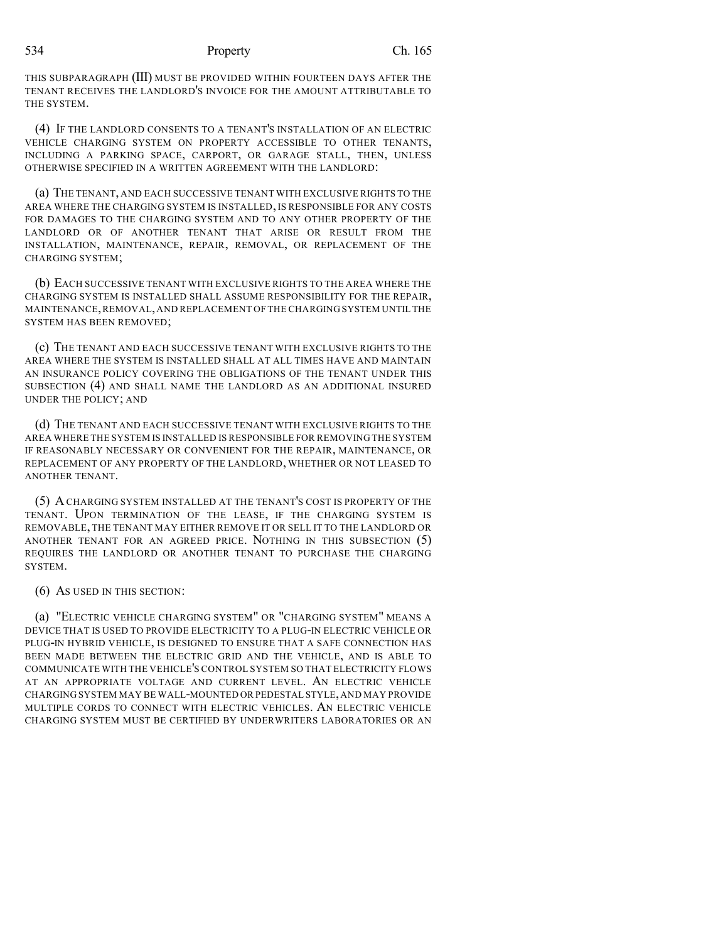THIS SUBPARAGRAPH (III) MUST BE PROVIDED WITHIN FOURTEEN DAYS AFTER THE TENANT RECEIVES THE LANDLORD'S INVOICE FOR THE AMOUNT ATTRIBUTABLE TO THE SYSTEM.

(4) IF THE LANDLORD CONSENTS TO A TENANT'S INSTALLATION OF AN ELECTRIC VEHICLE CHARGING SYSTEM ON PROPERTY ACCESSIBLE TO OTHER TENANTS, INCLUDING A PARKING SPACE, CARPORT, OR GARAGE STALL, THEN, UNLESS OTHERWISE SPECIFIED IN A WRITTEN AGREEMENT WITH THE LANDLORD:

(a) THE TENANT, AND EACH SUCCESSIVE TENANT WITH EXCLUSIVE RIGHTS TO THE AREA WHERE THE CHARGING SYSTEM IS INSTALLED, IS RESPONSIBLE FOR ANY COSTS FOR DAMAGES TO THE CHARGING SYSTEM AND TO ANY OTHER PROPERTY OF THE LANDLORD OR OF ANOTHER TENANT THAT ARISE OR RESULT FROM THE INSTALLATION, MAINTENANCE, REPAIR, REMOVAL, OR REPLACEMENT OF THE CHARGING SYSTEM;

(b) EACH SUCCESSIVE TENANT WITH EXCLUSIVE RIGHTS TO THE AREA WHERE THE CHARGING SYSTEM IS INSTALLED SHALL ASSUME RESPONSIBILITY FOR THE REPAIR, MAINTENANCE,REMOVAL,AND REPLACEMENT OF THE CHARGING SYSTEM UNTIL THE SYSTEM HAS BEEN REMOVED;

(c) THE TENANT AND EACH SUCCESSIVE TENANT WITH EXCLUSIVE RIGHTS TO THE AREA WHERE THE SYSTEM IS INSTALLED SHALL AT ALL TIMES HAVE AND MAINTAIN AN INSURANCE POLICY COVERING THE OBLIGATIONS OF THE TENANT UNDER THIS SUBSECTION (4) AND SHALL NAME THE LANDLORD AS AN ADDITIONAL INSURED UNDER THE POLICY; AND

(d) THE TENANT AND EACH SUCCESSIVE TENANT WITH EXCLUSIVE RIGHTS TO THE AREA WHERE THE SYSTEM IS INSTALLED IS RESPONSIBLE FOR REMOVING THE SYSTEM IF REASONABLY NECESSARY OR CONVENIENT FOR THE REPAIR, MAINTENANCE, OR REPLACEMENT OF ANY PROPERTY OF THE LANDLORD, WHETHER OR NOT LEASED TO ANOTHER TENANT.

(5) ACHARGING SYSTEM INSTALLED AT THE TENANT'S COST IS PROPERTY OF THE TENANT. UPON TERMINATION OF THE LEASE, IF THE CHARGING SYSTEM IS REMOVABLE, THE TENANT MAY EITHER REMOVE IT OR SELL IT TO THE LANDLORD OR ANOTHER TENANT FOR AN AGREED PRICE. NOTHING IN THIS SUBSECTION (5) REQUIRES THE LANDLORD OR ANOTHER TENANT TO PURCHASE THE CHARGING SYSTEM.

(6) AS USED IN THIS SECTION:

(a) "ELECTRIC VEHICLE CHARGING SYSTEM" OR "CHARGING SYSTEM" MEANS A DEVICE THAT IS USED TO PROVIDE ELECTRICITY TO A PLUG-IN ELECTRIC VEHICLE OR PLUG-IN HYBRID VEHICLE, IS DESIGNED TO ENSURE THAT A SAFE CONNECTION HAS BEEN MADE BETWEEN THE ELECTRIC GRID AND THE VEHICLE, AND IS ABLE TO COMMUNICATE WITH THE VEHICLE'S CONTROL SYSTEM SO THAT ELECTRICITY FLOWS AT AN APPROPRIATE VOLTAGE AND CURRENT LEVEL. AN ELECTRIC VEHICLE CHARGING SYSTEM MAY BE WALL-MOUNTED OR PEDESTAL STYLE,AND MAY PROVIDE MULTIPLE CORDS TO CONNECT WITH ELECTRIC VEHICLES. AN ELECTRIC VEHICLE CHARGING SYSTEM MUST BE CERTIFIED BY UNDERWRITERS LABORATORIES OR AN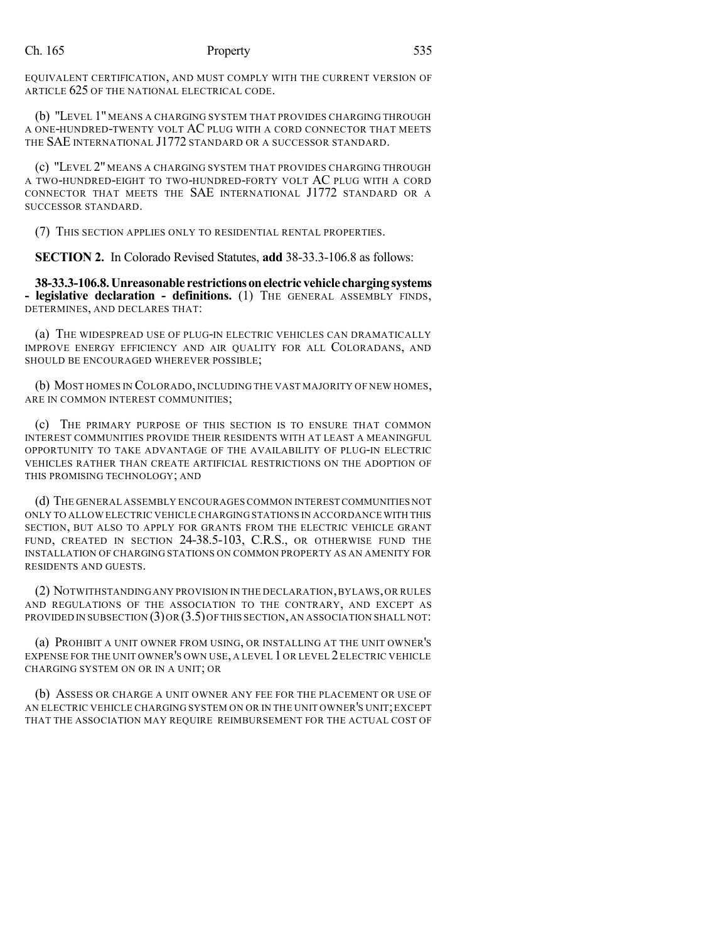### Ch. 165 Property 535

EQUIVALENT CERTIFICATION, AND MUST COMPLY WITH THE CURRENT VERSION OF ARTICLE 625 OF THE NATIONAL ELECTRICAL CODE.

(b) "LEVEL 1" MEANS A CHARGING SYSTEM THAT PROVIDES CHARGING THROUGH A ONE-HUNDRED-TWENTY VOLT AC PLUG WITH A CORD CONNECTOR THAT MEETS THE SAE INTERNATIONAL J1772 STANDARD OR A SUCCESSOR STANDARD.

(c) "LEVEL 2" MEANS A CHARGING SYSTEM THAT PROVIDES CHARGING THROUGH A TWO-HUNDRED-EIGHT TO TWO-HUNDRED-FORTY VOLT AC PLUG WITH A CORD CONNECTOR THAT MEETS THE SAE INTERNATIONAL J1772 STANDARD OR A SUCCESSOR STANDARD.

(7) THIS SECTION APPLIES ONLY TO RESIDENTIAL RENTAL PROPERTIES.

**SECTION 2.** In Colorado Revised Statutes, **add** 38-33.3-106.8 as follows:

**38-33.3-106.8.Unreasonable restrictionsonelectricvehicle chargingsystems - legislative declaration - definitions.** (1) THE GENERAL ASSEMBLY FINDS, DETERMINES, AND DECLARES THAT:

(a) THE WIDESPREAD USE OF PLUG-IN ELECTRIC VEHICLES CAN DRAMATICALLY IMPROVE ENERGY EFFICIENCY AND AIR QUALITY FOR ALL COLORADANS, AND SHOULD BE ENCOURAGED WHEREVER POSSIBLE;

(b) MOST HOMES IN COLORADO, INCLUDING THE VAST MAJORITY OF NEW HOMES, ARE IN COMMON INTEREST COMMUNITIES;

(c) THE PRIMARY PURPOSE OF THIS SECTION IS TO ENSURE THAT COMMON INTEREST COMMUNITIES PROVIDE THEIR RESIDENTS WITH AT LEAST A MEANINGFUL OPPORTUNITY TO TAKE ADVANTAGE OF THE AVAILABILITY OF PLUG-IN ELECTRIC VEHICLES RATHER THAN CREATE ARTIFICIAL RESTRICTIONS ON THE ADOPTION OF THIS PROMISING TECHNOLOGY; AND

(d) THE GENERAL ASSEMBLY ENCOURAGES COMMON INTEREST COMMUNITIES NOT ONLY TO ALLOW ELECTRIC VEHICLE CHARGING STATIONS IN ACCORDANCE WITH THIS SECTION, BUT ALSO TO APPLY FOR GRANTS FROM THE ELECTRIC VEHICLE GRANT FUND, CREATED IN SECTION 24-38.5-103, C.R.S., OR OTHERWISE FUND THE INSTALLATION OF CHARGING STATIONS ON COMMON PROPERTY AS AN AMENITY FOR RESIDENTS AND GUESTS.

(2) NOTWITHSTANDINGANY PROVISION IN THE DECLARATION,BYLAWS,OR RULES AND REGULATIONS OF THE ASSOCIATION TO THE CONTRARY, AND EXCEPT AS PROVIDED IN SUBSECTION (3) OR (3.5) OF THIS SECTION, AN ASSOCIATION SHALL NOT:

(a) PROHIBIT A UNIT OWNER FROM USING, OR INSTALLING AT THE UNIT OWNER'S EXPENSE FOR THE UNIT OWNER'S OWN USE, A LEVEL 1 OR LEVEL 2ELECTRIC VEHICLE CHARGING SYSTEM ON OR IN A UNIT; OR

(b) ASSESS OR CHARGE A UNIT OWNER ANY FEE FOR THE PLACEMENT OR USE OF AN ELECTRIC VEHICLE CHARGING SYSTEM ON OR IN THE UNIT OWNER'S UNIT;EXCEPT THAT THE ASSOCIATION MAY REQUIRE REIMBURSEMENT FOR THE ACTUAL COST OF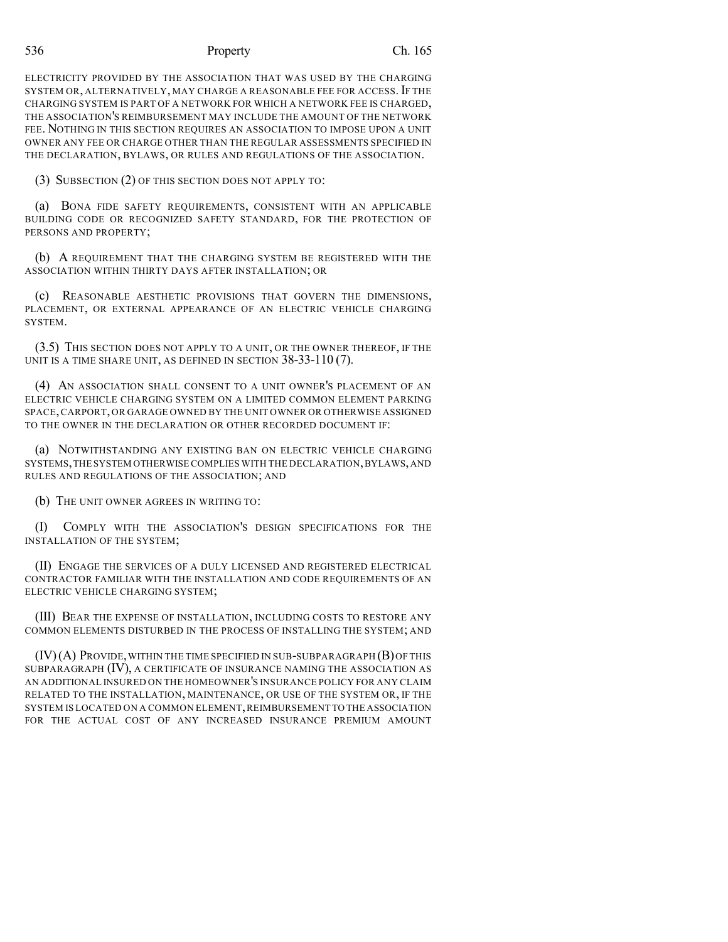### 536 Property Ch. 165

ELECTRICITY PROVIDED BY THE ASSOCIATION THAT WAS USED BY THE CHARGING SYSTEM OR, ALTERNATIVELY, MAY CHARGE A REASONABLE FEE FOR ACCESS. IF THE CHARGING SYSTEM IS PART OF A NETWORK FOR WHICH A NETWORK FEE IS CHARGED, THE ASSOCIATION'S REIMBURSEMENT MAY INCLUDE THE AMOUNT OF THE NETWORK FEE. NOTHING IN THIS SECTION REQUIRES AN ASSOCIATION TO IMPOSE UPON A UNIT OWNER ANY FEE OR CHARGE OTHER THAN THE REGULAR ASSESSMENTS SPECIFIED IN THE DECLARATION, BYLAWS, OR RULES AND REGULATIONS OF THE ASSOCIATION.

(3) SUBSECTION (2) OF THIS SECTION DOES NOT APPLY TO:

(a) BONA FIDE SAFETY REQUIREMENTS, CONSISTENT WITH AN APPLICABLE BUILDING CODE OR RECOGNIZED SAFETY STANDARD, FOR THE PROTECTION OF PERSONS AND PROPERTY;

(b) A REQUIREMENT THAT THE CHARGING SYSTEM BE REGISTERED WITH THE ASSOCIATION WITHIN THIRTY DAYS AFTER INSTALLATION; OR

(c) REASONABLE AESTHETIC PROVISIONS THAT GOVERN THE DIMENSIONS, PLACEMENT, OR EXTERNAL APPEARANCE OF AN ELECTRIC VEHICLE CHARGING SYSTEM.

(3.5) THIS SECTION DOES NOT APPLY TO A UNIT, OR THE OWNER THEREOF, IF THE UNIT IS A TIME SHARE UNIT, AS DEFINED IN SECTION 38-33-110 (7).

(4) AN ASSOCIATION SHALL CONSENT TO A UNIT OWNER'S PLACEMENT OF AN ELECTRIC VEHICLE CHARGING SYSTEM ON A LIMITED COMMON ELEMENT PARKING SPACE,CARPORT, OR GARAGE OWNED BY THE UNIT OWNER OR OTHERWISE ASSIGNED TO THE OWNER IN THE DECLARATION OR OTHER RECORDED DOCUMENT IF:

(a) NOTWITHSTANDING ANY EXISTING BAN ON ELECTRIC VEHICLE CHARGING SYSTEMS,THE SYSTEM OTHERWISE COMPLIES WITH THE DECLARATION,BYLAWS,AND RULES AND REGULATIONS OF THE ASSOCIATION; AND

(b) THE UNIT OWNER AGREES IN WRITING TO:

(I) COMPLY WITH THE ASSOCIATION'S DESIGN SPECIFICATIONS FOR THE INSTALLATION OF THE SYSTEM;

(II) ENGAGE THE SERVICES OF A DULY LICENSED AND REGISTERED ELECTRICAL CONTRACTOR FAMILIAR WITH THE INSTALLATION AND CODE REQUIREMENTS OF AN ELECTRIC VEHICLE CHARGING SYSTEM;

(III) BEAR THE EXPENSE OF INSTALLATION, INCLUDING COSTS TO RESTORE ANY COMMON ELEMENTS DISTURBED IN THE PROCESS OF INSTALLING THE SYSTEM; AND

(IV)(A) PROVIDE,WITHIN THE TIME SPECIFIED IN SUB-SUBPARAGRAPH (B)OF THIS SUBPARAGRAPH (IV), A CERTIFICATE OF INSURANCE NAMING THE ASSOCIATION AS AN ADDITIONAL INSURED ON THE HOMEOWNER'S INSURANCE POLICY FOR ANY CLAIM RELATED TO THE INSTALLATION, MAINTENANCE, OR USE OF THE SYSTEM OR, IF THE SYSTEM IS LOCATED ON A COMMON ELEMENT,REIMBURSEMENT TO THE ASSOCIATION FOR THE ACTUAL COST OF ANY INCREASED INSURANCE PREMIUM AMOUNT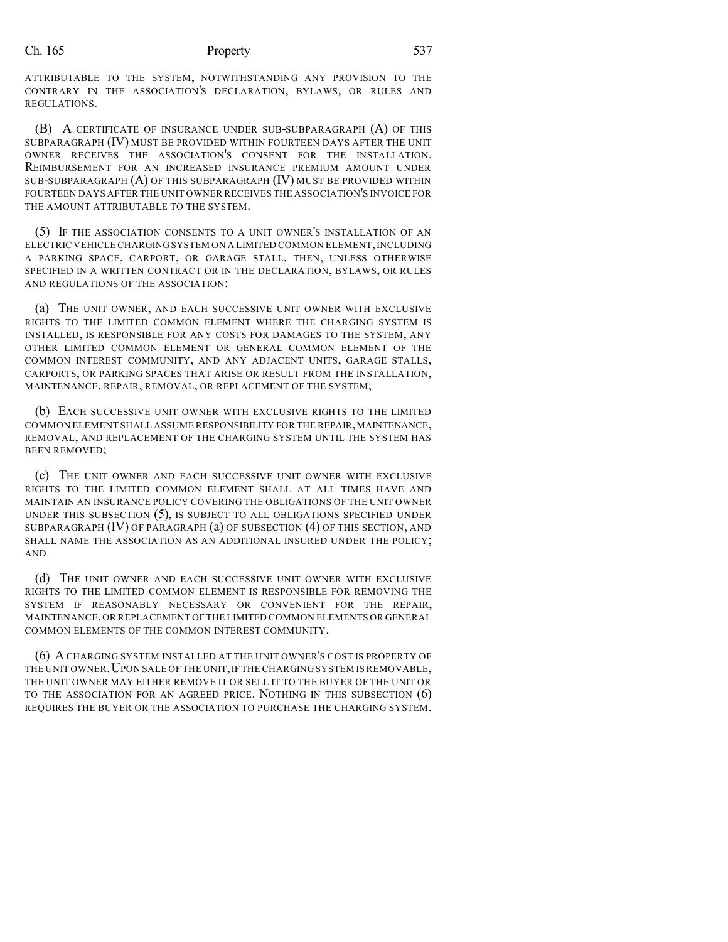## Ch. 165 Property 537

ATTRIBUTABLE TO THE SYSTEM, NOTWITHSTANDING ANY PROVISION TO THE CONTRARY IN THE ASSOCIATION'S DECLARATION, BYLAWS, OR RULES AND REGULATIONS.

(B) A CERTIFICATE OF INSURANCE UNDER SUB-SUBPARAGRAPH (A) OF THIS SUBPARAGRAPH (IV) MUST BE PROVIDED WITHIN FOURTEEN DAYS AFTER THE UNIT OWNER RECEIVES THE ASSOCIATION'S CONSENT FOR THE INSTALLATION. REIMBURSEMENT FOR AN INCREASED INSURANCE PREMIUM AMOUNT UNDER SUB-SUBPARAGRAPH (A) OF THIS SUBPARAGRAPH (IV) MUST BE PROVIDED WITHIN FOURTEEN DAYS AFTER THE UNIT OWNER RECEIVES THE ASSOCIATION'S INVOICE FOR THE AMOUNT ATTRIBUTABLE TO THE SYSTEM.

(5) IF THE ASSOCIATION CONSENTS TO A UNIT OWNER'S INSTALLATION OF AN ELECTRIC VEHICLE CHARGING SYSTEM ON A LIMITED COMMON ELEMENT, INCLUDING A PARKING SPACE, CARPORT, OR GARAGE STALL, THEN, UNLESS OTHERWISE SPECIFIED IN A WRITTEN CONTRACT OR IN THE DECLARATION, BYLAWS, OR RULES AND REGULATIONS OF THE ASSOCIATION:

(a) THE UNIT OWNER, AND EACH SUCCESSIVE UNIT OWNER WITH EXCLUSIVE RIGHTS TO THE LIMITED COMMON ELEMENT WHERE THE CHARGING SYSTEM IS INSTALLED, IS RESPONSIBLE FOR ANY COSTS FOR DAMAGES TO THE SYSTEM, ANY OTHER LIMITED COMMON ELEMENT OR GENERAL COMMON ELEMENT OF THE COMMON INTEREST COMMUNITY, AND ANY ADJACENT UNITS, GARAGE STALLS, CARPORTS, OR PARKING SPACES THAT ARISE OR RESULT FROM THE INSTALLATION, MAINTENANCE, REPAIR, REMOVAL, OR REPLACEMENT OF THE SYSTEM;

(b) EACH SUCCESSIVE UNIT OWNER WITH EXCLUSIVE RIGHTS TO THE LIMITED COMMON ELEMENT SHALL ASSUME RESPONSIBILITY FOR THE REPAIR,MAINTENANCE, REMOVAL, AND REPLACEMENT OF THE CHARGING SYSTEM UNTIL THE SYSTEM HAS BEEN REMOVED;

(c) THE UNIT OWNER AND EACH SUCCESSIVE UNIT OWNER WITH EXCLUSIVE RIGHTS TO THE LIMITED COMMON ELEMENT SHALL AT ALL TIMES HAVE AND MAINTAIN AN INSURANCE POLICY COVERING THE OBLIGATIONS OF THE UNIT OWNER UNDER THIS SUBSECTION (5), IS SUBJECT TO ALL OBLIGATIONS SPECIFIED UNDER SUBPARAGRAPH (IV) OF PARAGRAPH (a) OF SUBSECTION (4) OF THIS SECTION, AND SHALL NAME THE ASSOCIATION AS AN ADDITIONAL INSURED UNDER THE POLICY; AND

(d) THE UNIT OWNER AND EACH SUCCESSIVE UNIT OWNER WITH EXCLUSIVE RIGHTS TO THE LIMITED COMMON ELEMENT IS RESPONSIBLE FOR REMOVING THE SYSTEM IF REASONABLY NECESSARY OR CONVENIENT FOR THE REPAIR, MAINTENANCE,OR REPLACEMENT OF THE LIMITED COMMON ELEMENTS OR GENERAL COMMON ELEMENTS OF THE COMMON INTEREST COMMUNITY.

(6) ACHARGING SYSTEM INSTALLED AT THE UNIT OWNER'S COST IS PROPERTY OF THE UNIT OWNER. UPON SALE OF THE UNIT, IF THE CHARGING SYSTEM IS REMOVABLE, THE UNIT OWNER MAY EITHER REMOVE IT OR SELL IT TO THE BUYER OF THE UNIT OR TO THE ASSOCIATION FOR AN AGREED PRICE. NOTHING IN THIS SUBSECTION (6) REQUIRES THE BUYER OR THE ASSOCIATION TO PURCHASE THE CHARGING SYSTEM.